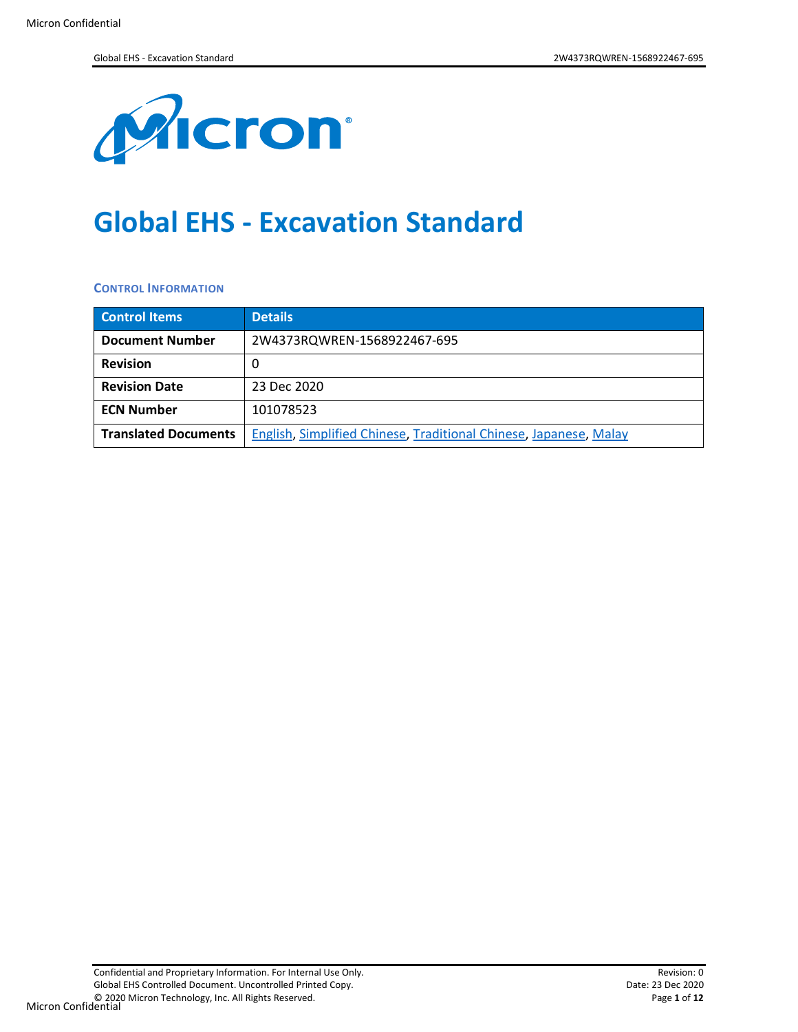

# **Global EHS - Excavation Standard**

#### **CONTROL INFORMATION**

| <b>Control Items</b>        | <b>Details</b>                                                    |
|-----------------------------|-------------------------------------------------------------------|
| <b>Document Number</b>      | 2W4373RQWREN-1568922467-695                                       |
| <b>Revision</b>             |                                                                   |
| <b>Revision Date</b>        | 23 Dec 2020                                                       |
| <b>ECN Number</b>           | 101078523                                                         |
| <b>Translated Documents</b> | English, Simplified Chinese, Traditional Chinese, Japanese, Malay |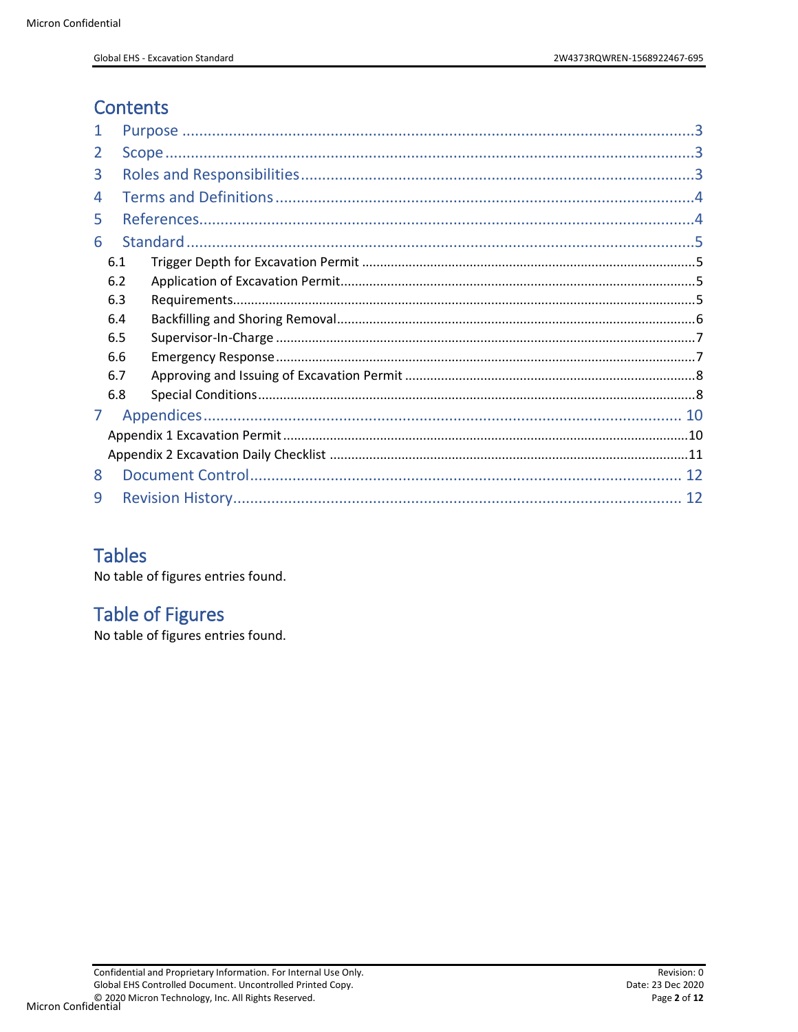# **Contents**

| 2 |     |  |
|---|-----|--|
| 3 |     |  |
| 4 |     |  |
| 5 |     |  |
| 6 |     |  |
|   | 6.1 |  |
|   | 6.2 |  |
|   | 6.3 |  |
|   | 6.4 |  |
|   | 6.5 |  |
|   | 6.6 |  |
|   | 6.7 |  |
|   | 6.8 |  |
| 7 |     |  |
|   |     |  |
|   |     |  |
| 8 |     |  |
| 9 |     |  |

## **Tables**

No table of figures entries found.

# **Table of Figures**

No table of figures entries found.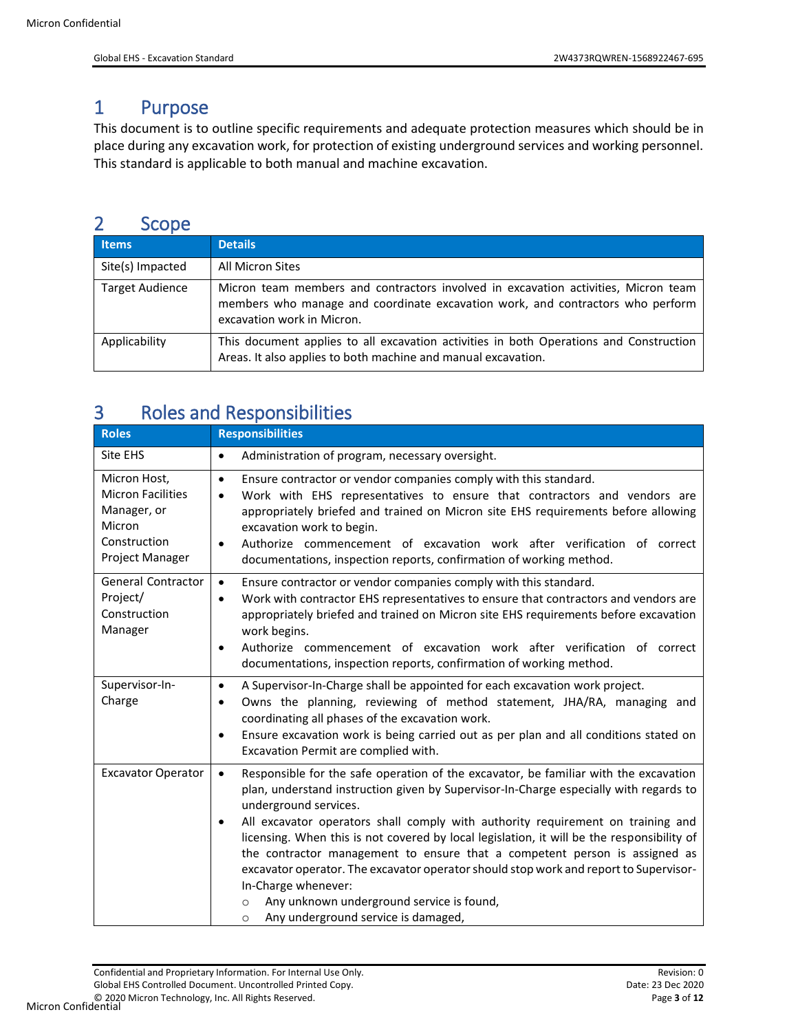### <span id="page-2-0"></span>1 Purpose

This document is to outline specific requirements and adequate protection measures which should be in place during any excavation work, for protection of existing underground services and working personnel. This standard is applicable to both manual and machine excavation.

### <span id="page-2-1"></span>2 Scope

| <b>Items</b>           | <b>Details</b>                                                                                                                                                                                     |
|------------------------|----------------------------------------------------------------------------------------------------------------------------------------------------------------------------------------------------|
| Site(s) Impacted       | All Micron Sites                                                                                                                                                                                   |
| <b>Target Audience</b> | Micron team members and contractors involved in excavation activities, Micron team<br>members who manage and coordinate excavation work, and contractors who perform<br>excavation work in Micron. |
| Applicability          | This document applies to all excavation activities in both Operations and Construction<br>Areas. It also applies to both machine and manual excavation.                                            |

# <span id="page-2-2"></span>3 Roles and Responsibilities

| <b>Roles</b>                                                                                         | <b>Responsibilities</b>                                                                                                                                                                                                                                                                                                                                                                                                                                                                                                                                                                                                                                                                                                    |
|------------------------------------------------------------------------------------------------------|----------------------------------------------------------------------------------------------------------------------------------------------------------------------------------------------------------------------------------------------------------------------------------------------------------------------------------------------------------------------------------------------------------------------------------------------------------------------------------------------------------------------------------------------------------------------------------------------------------------------------------------------------------------------------------------------------------------------------|
| Site EHS                                                                                             | Administration of program, necessary oversight.<br>$\bullet$                                                                                                                                                                                                                                                                                                                                                                                                                                                                                                                                                                                                                                                               |
| Micron Host,<br><b>Micron Facilities</b><br>Manager, or<br>Micron<br>Construction<br>Project Manager | Ensure contractor or vendor companies comply with this standard.<br>$\bullet$<br>Work with EHS representatives to ensure that contractors and vendors are<br>$\bullet$<br>appropriately briefed and trained on Micron site EHS requirements before allowing<br>excavation work to begin.<br>Authorize commencement of excavation work after verification of correct<br>$\bullet$<br>documentations, inspection reports, confirmation of working method.                                                                                                                                                                                                                                                                    |
| <b>General Contractor</b><br>Project/<br>Construction<br>Manager                                     | Ensure contractor or vendor companies comply with this standard.<br>$\bullet$<br>Work with contractor EHS representatives to ensure that contractors and vendors are<br>$\bullet$<br>appropriately briefed and trained on Micron site EHS requirements before excavation<br>work begins.<br>Authorize commencement of excavation work after verification of correct<br>$\bullet$<br>documentations, inspection reports, confirmation of working method.                                                                                                                                                                                                                                                                    |
| Supervisor-In-<br>Charge                                                                             | A Supervisor-In-Charge shall be appointed for each excavation work project.<br>$\bullet$<br>Owns the planning, reviewing of method statement, JHA/RA, managing and<br>$\bullet$<br>coordinating all phases of the excavation work.<br>Ensure excavation work is being carried out as per plan and all conditions stated on<br>$\bullet$<br>Excavation Permit are complied with.                                                                                                                                                                                                                                                                                                                                            |
| <b>Excavator Operator</b>                                                                            | Responsible for the safe operation of the excavator, be familiar with the excavation<br>$\bullet$<br>plan, understand instruction given by Supervisor-In-Charge especially with regards to<br>underground services.<br>All excavator operators shall comply with authority requirement on training and<br>$\bullet$<br>licensing. When this is not covered by local legislation, it will be the responsibility of<br>the contractor management to ensure that a competent person is assigned as<br>excavator operator. The excavator operator should stop work and report to Supervisor-<br>In-Charge whenever:<br>Any unknown underground service is found,<br>$\Omega$<br>Any underground service is damaged,<br>$\circ$ |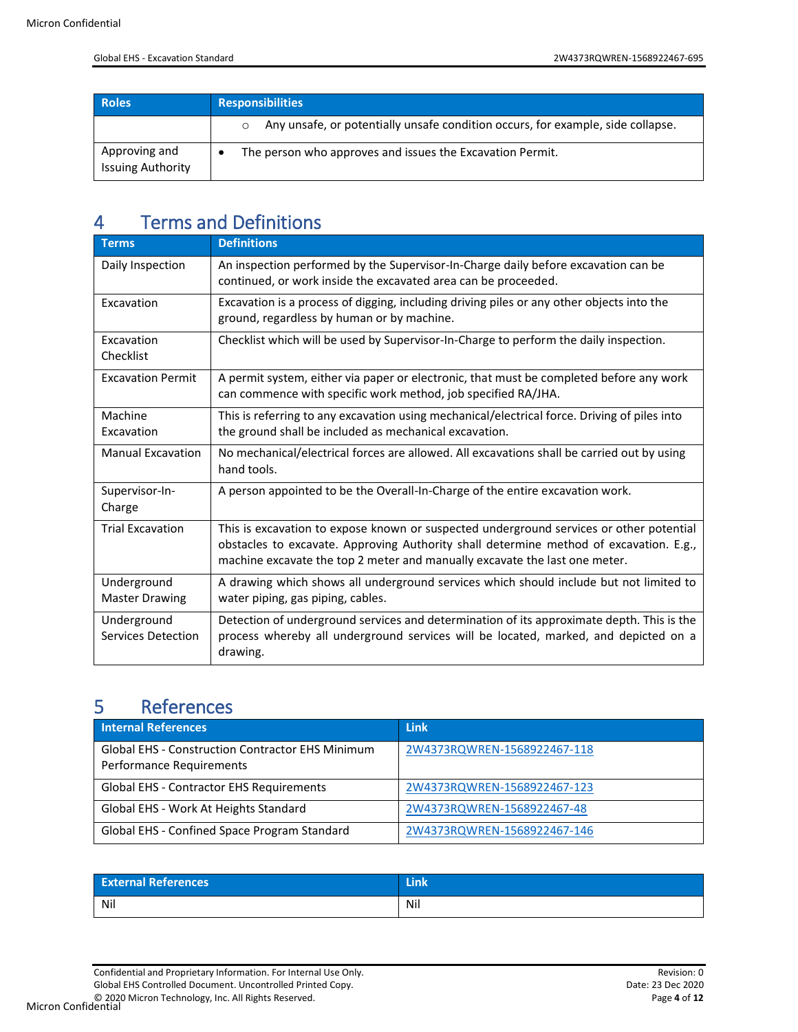| <b>Roles</b>                              | <b>Responsibilities</b>                                                                    |
|-------------------------------------------|--------------------------------------------------------------------------------------------|
|                                           | Any unsafe, or potentially unsafe condition occurs, for example, side collapse.<br>$\circ$ |
| Approving and<br><b>Issuing Authority</b> | The person who approves and issues the Excavation Permit.                                  |

# <span id="page-3-0"></span>4 Terms and Definitions

| <b>Terms</b>                         | <b>Definitions</b>                                                                                                                                                                                                                                              |
|--------------------------------------|-----------------------------------------------------------------------------------------------------------------------------------------------------------------------------------------------------------------------------------------------------------------|
| Daily Inspection                     | An inspection performed by the Supervisor-In-Charge daily before excavation can be<br>continued, or work inside the excavated area can be proceeded.                                                                                                            |
| Excavation                           | Excavation is a process of digging, including driving piles or any other objects into the<br>ground, regardless by human or by machine.                                                                                                                         |
| Excavation<br>Checklist              | Checklist which will be used by Supervisor-In-Charge to perform the daily inspection.                                                                                                                                                                           |
| <b>Excavation Permit</b>             | A permit system, either via paper or electronic, that must be completed before any work<br>can commence with specific work method, job specified RA/JHA.                                                                                                        |
| Machine<br>Excavation                | This is referring to any excavation using mechanical/electrical force. Driving of piles into<br>the ground shall be included as mechanical excavation.                                                                                                          |
| <b>Manual Excavation</b>             | No mechanical/electrical forces are allowed. All excavations shall be carried out by using<br>hand tools.                                                                                                                                                       |
| Supervisor-In-<br>Charge             | A person appointed to be the Overall-In-Charge of the entire excavation work.                                                                                                                                                                                   |
| <b>Trial Excavation</b>              | This is excavation to expose known or suspected underground services or other potential<br>obstacles to excavate. Approving Authority shall determine method of excavation. E.g.,<br>machine excavate the top 2 meter and manually excavate the last one meter. |
| Underground<br><b>Master Drawing</b> | A drawing which shows all underground services which should include but not limited to<br>water piping, gas piping, cables.                                                                                                                                     |
| Underground<br>Services Detection    | Detection of underground services and determination of its approximate depth. This is the<br>process whereby all underground services will be located, marked, and depicted on a<br>drawing.                                                                    |

### <span id="page-3-1"></span>5 References

| <b>Internal References</b>                                                          | <b>Link</b>                 |
|-------------------------------------------------------------------------------------|-----------------------------|
| <b>Global EHS - Construction Contractor EHS Minimum</b><br>Performance Requirements | 2W4373RQWREN-1568922467-118 |
| Global EHS - Contractor EHS Requirements                                            | 2W4373RQWREN-1568922467-123 |
| Global EHS - Work At Heights Standard                                               | 2W4373RQWREN-1568922467-48  |
| Global EHS - Confined Space Program Standard                                        | 2W4373RQWREN-1568922467-146 |

| <b>External References</b> | THE . |
|----------------------------|-------|
| Nil                        | Nil   |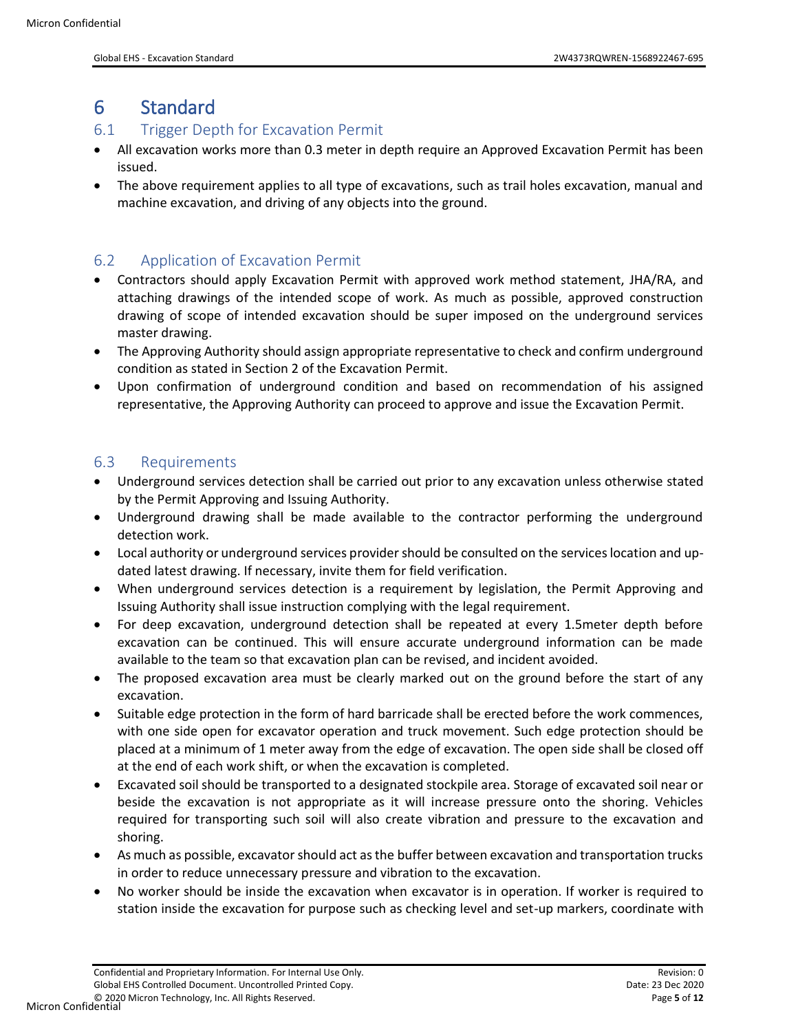### <span id="page-4-0"></span>6 Standard

#### <span id="page-4-1"></span>6.1 Trigger Depth for Excavation Permit

- All excavation works more than 0.3 meter in depth require an Approved Excavation Permit has been issued.
- The above requirement applies to all type of excavations, such as trail holes excavation, manual and machine excavation, and driving of any objects into the ground.

#### <span id="page-4-2"></span>6.2 Application of Excavation Permit

- Contractors should apply Excavation Permit with approved work method statement, JHA/RA, and attaching drawings of the intended scope of work. As much as possible, approved construction drawing of scope of intended excavation should be super imposed on the underground services master drawing.
- The Approving Authority should assign appropriate representative to check and confirm underground condition as stated in Section 2 of the Excavation Permit.
- Upon confirmation of underground condition and based on recommendation of his assigned representative, the Approving Authority can proceed to approve and issue the Excavation Permit.

#### <span id="page-4-3"></span>6.3 Requirements

- Underground services detection shall be carried out prior to any excavation unless otherwise stated by the Permit Approving and Issuing Authority.
- Underground drawing shall be made available to the contractor performing the underground detection work.
- Local authority or underground services provider should be consulted on the services location and updated latest drawing. If necessary, invite them for field verification.
- When underground services detection is a requirement by legislation, the Permit Approving and Issuing Authority shall issue instruction complying with the legal requirement.
- For deep excavation, underground detection shall be repeated at every 1.5meter depth before excavation can be continued. This will ensure accurate underground information can be made available to the team so that excavation plan can be revised, and incident avoided.
- The proposed excavation area must be clearly marked out on the ground before the start of any excavation.
- Suitable edge protection in the form of hard barricade shall be erected before the work commences, with one side open for excavator operation and truck movement. Such edge protection should be placed at a minimum of 1 meter away from the edge of excavation. The open side shall be closed off at the end of each work shift, or when the excavation is completed.
- Excavated soil should be transported to a designated stockpile area. Storage of excavated soil near or beside the excavation is not appropriate as it will increase pressure onto the shoring. Vehicles required for transporting such soil will also create vibration and pressure to the excavation and shoring.
- As much as possible, excavator should act as the buffer between excavation and transportation trucks in order to reduce unnecessary pressure and vibration to the excavation.
- No worker should be inside the excavation when excavator is in operation. If worker is required to station inside the excavation for purpose such as checking level and set-up markers, coordinate with

Micron Confidential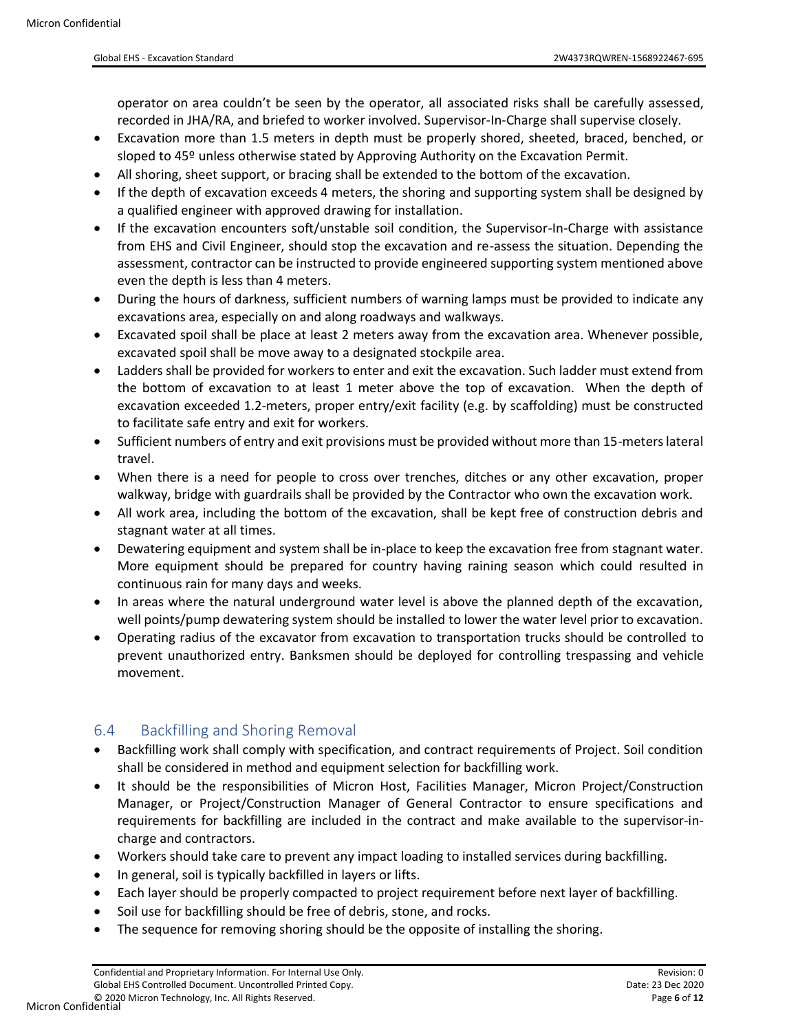operator on area couldn't be seen by the operator, all associated risks shall be carefully assessed, recorded in JHA/RA, and briefed to worker involved. Supervisor-In-Charge shall supervise closely.

- Excavation more than 1.5 meters in depth must be properly shored, sheeted, braced, benched, or sloped to 45º unless otherwise stated by Approving Authority on the Excavation Permit.
- All shoring, sheet support, or bracing shall be extended to the bottom of the excavation.
- If the depth of excavation exceeds 4 meters, the shoring and supporting system shall be designed by a qualified engineer with approved drawing for installation.
- If the excavation encounters soft/unstable soil condition, the Supervisor-In-Charge with assistance from EHS and Civil Engineer, should stop the excavation and re-assess the situation. Depending the assessment, contractor can be instructed to provide engineered supporting system mentioned above even the depth is less than 4 meters.
- During the hours of darkness, sufficient numbers of warning lamps must be provided to indicate any excavations area, especially on and along roadways and walkways.
- Excavated spoil shall be place at least 2 meters away from the excavation area. Whenever possible, excavated spoil shall be move away to a designated stockpile area.
- Ladders shall be provided for workers to enter and exit the excavation. Such ladder must extend from the bottom of excavation to at least 1 meter above the top of excavation. When the depth of excavation exceeded 1.2-meters, proper entry/exit facility (e.g. by scaffolding) must be constructed to facilitate safe entry and exit for workers.
- Sufficient numbers of entry and exit provisions must be provided without more than 15-meters lateral travel.
- When there is a need for people to cross over trenches, ditches or any other excavation, proper walkway, bridge with guardrails shall be provided by the Contractor who own the excavation work.
- All work area, including the bottom of the excavation, shall be kept free of construction debris and stagnant water at all times.
- Dewatering equipment and system shall be in-place to keep the excavation free from stagnant water. More equipment should be prepared for country having raining season which could resulted in continuous rain for many days and weeks.
- In areas where the natural underground water level is above the planned depth of the excavation, well points/pump dewatering system should be installed to lower the water level prior to excavation.
- Operating radius of the excavator from excavation to transportation trucks should be controlled to prevent unauthorized entry. Banksmen should be deployed for controlling trespassing and vehicle movement.

#### <span id="page-5-0"></span>6.4 Backfilling and Shoring Removal

- Backfilling work shall comply with specification, and contract requirements of Project. Soil condition shall be considered in method and equipment selection for backfilling work.
- It should be the responsibilities of Micron Host, Facilities Manager, Micron Project/Construction Manager, or Project/Construction Manager of General Contractor to ensure specifications and requirements for backfilling are included in the contract and make available to the supervisor-incharge and contractors.
- Workers should take care to prevent any impact loading to installed services during backfilling.
- In general, soil is typically backfilled in layers or lifts.
- Each layer should be properly compacted to project requirement before next layer of backfilling.
- Soil use for backfilling should be free of debris, stone, and rocks.
- The sequence for removing shoring should be the opposite of installing the shoring.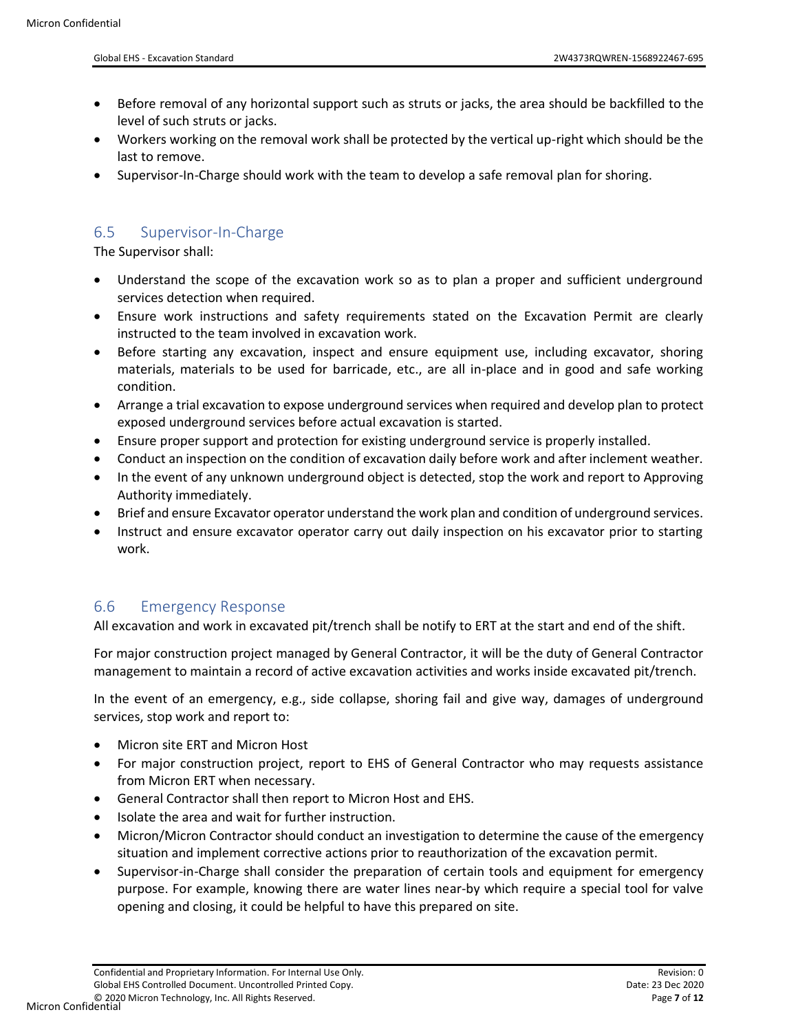- Before removal of any horizontal support such as struts or jacks, the area should be backfilled to the level of such struts or jacks.
- Workers working on the removal work shall be protected by the vertical up-right which should be the last to remove.
- Supervisor-In-Charge should work with the team to develop a safe removal plan for shoring.

#### <span id="page-6-0"></span>6.5 Supervisor-In-Charge

The Supervisor shall:

- Understand the scope of the excavation work so as to plan a proper and sufficient underground services detection when required.
- Ensure work instructions and safety requirements stated on the Excavation Permit are clearly instructed to the team involved in excavation work.
- Before starting any excavation, inspect and ensure equipment use, including excavator, shoring materials, materials to be used for barricade, etc., are all in-place and in good and safe working condition.
- Arrange a trial excavation to expose underground services when required and develop plan to protect exposed underground services before actual excavation is started.
- Ensure proper support and protection for existing underground service is properly installed.
- Conduct an inspection on the condition of excavation daily before work and after inclement weather.
- In the event of any unknown underground object is detected, stop the work and report to Approving Authority immediately.
- Brief and ensure Excavator operator understand the work plan and condition of underground services.
- Instruct and ensure excavator operator carry out daily inspection on his excavator prior to starting work.

#### <span id="page-6-1"></span>6.6 Emergency Response

All excavation and work in excavated pit/trench shall be notify to ERT at the start and end of the shift.

For major construction project managed by General Contractor, it will be the duty of General Contractor management to maintain a record of active excavation activities and works inside excavated pit/trench.

In the event of an emergency, e.g., side collapse, shoring fail and give way, damages of underground services, stop work and report to:

- Micron site ERT and Micron Host
- For major construction project, report to EHS of General Contractor who may requests assistance from Micron ERT when necessary.
- General Contractor shall then report to Micron Host and EHS.
- Isolate the area and wait for further instruction.
- Micron/Micron Contractor should conduct an investigation to determine the cause of the emergency situation and implement corrective actions prior to reauthorization of the excavation permit.
- Supervisor-in-Charge shall consider the preparation of certain tools and equipment for emergency purpose. For example, knowing there are water lines near-by which require a special tool for valve opening and closing, it could be helpful to have this prepared on site.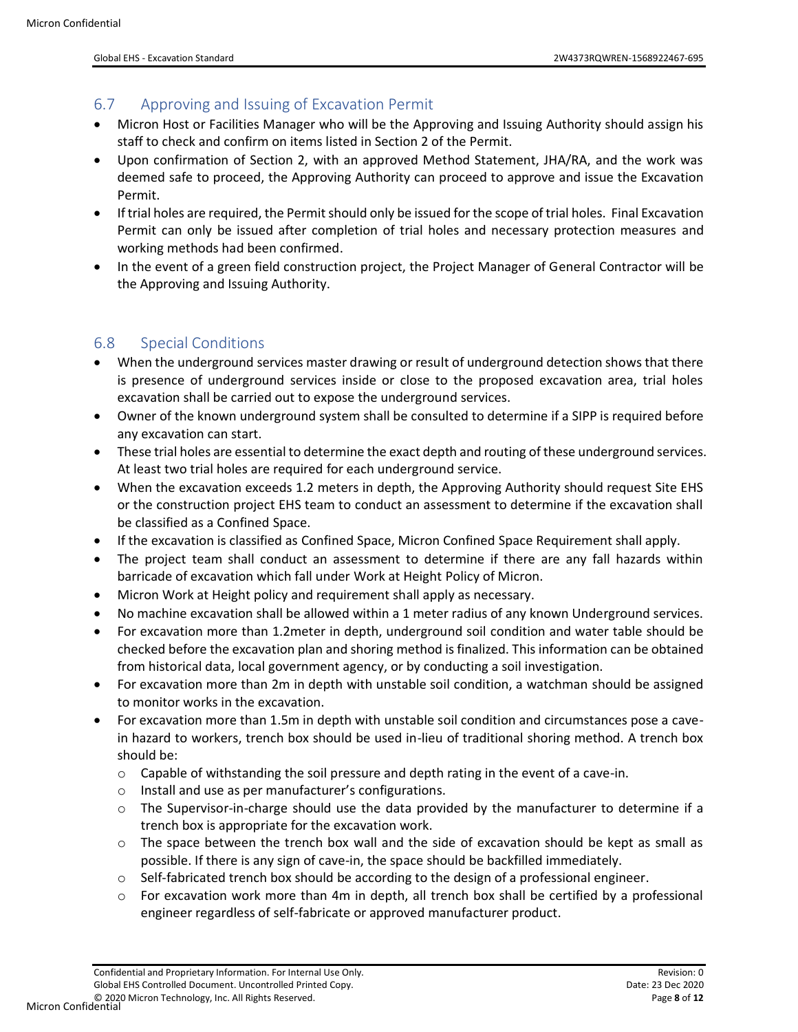#### <span id="page-7-0"></span>6.7 Approving and Issuing of Excavation Permit

- Micron Host or Facilities Manager who will be the Approving and Issuing Authority should assign his staff to check and confirm on items listed in Section 2 of the Permit.
- Upon confirmation of Section 2, with an approved Method Statement, JHA/RA, and the work was deemed safe to proceed, the Approving Authority can proceed to approve and issue the Excavation Permit.
- If trial holes are required, the Permit should only be issued for the scope of trial holes. Final Excavation Permit can only be issued after completion of trial holes and necessary protection measures and working methods had been confirmed.
- In the event of a green field construction project, the Project Manager of General Contractor will be the Approving and Issuing Authority.

#### <span id="page-7-1"></span>6.8 Special Conditions

- When the underground services master drawing or result of underground detection shows that there is presence of underground services inside or close to the proposed excavation area, trial holes excavation shall be carried out to expose the underground services.
- Owner of the known underground system shall be consulted to determine if a SIPP is required before any excavation can start.
- These trial holes are essential to determine the exact depth and routing of these underground services. At least two trial holes are required for each underground service.
- When the excavation exceeds 1.2 meters in depth, the Approving Authority should request Site EHS or the construction project EHS team to conduct an assessment to determine if the excavation shall be classified as a Confined Space.
- If the excavation is classified as Confined Space, Micron Confined Space Requirement shall apply.
- The project team shall conduct an assessment to determine if there are any fall hazards within barricade of excavation which fall under Work at Height Policy of Micron.
- Micron Work at Height policy and requirement shall apply as necessary.
- No machine excavation shall be allowed within a 1 meter radius of any known Underground services.
- For excavation more than 1.2meter in depth, underground soil condition and water table should be checked before the excavation plan and shoring method is finalized. This information can be obtained from historical data, local government agency, or by conducting a soil investigation.
- For excavation more than 2m in depth with unstable soil condition, a watchman should be assigned to monitor works in the excavation.
- For excavation more than 1.5m in depth with unstable soil condition and circumstances pose a cavein hazard to workers, trench box should be used in-lieu of traditional shoring method. A trench box should be:
	- $\circ$  Capable of withstanding the soil pressure and depth rating in the event of a cave-in.
	- o Install and use as per manufacturer's configurations.
	- o The Supervisor-in-charge should use the data provided by the manufacturer to determine if a trench box is appropriate for the excavation work.
	- $\circ$  The space between the trench box wall and the side of excavation should be kept as small as possible. If there is any sign of cave-in, the space should be backfilled immediately.
	- $\circ$  Self-fabricated trench box should be according to the design of a professional engineer.
	- o For excavation work more than 4m in depth, all trench box shall be certified by a professional engineer regardless of self-fabricate or approved manufacturer product.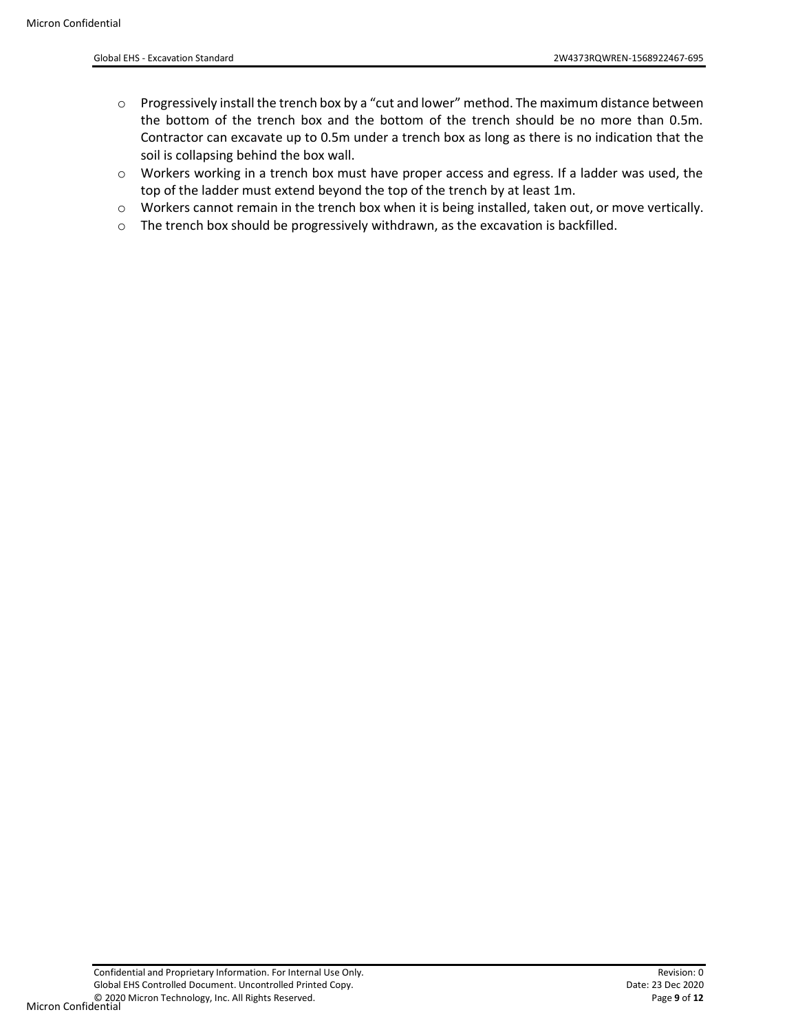- o Progressively install the trench box by a "cut and lower" method. The maximum distance between the bottom of the trench box and the bottom of the trench should be no more than 0.5m. Contractor can excavate up to 0.5m under a trench box as long as there is no indication that the soil is collapsing behind the box wall.
- $\circ$  Workers working in a trench box must have proper access and egress. If a ladder was used, the top of the ladder must extend beyond the top of the trench by at least 1m.
- o Workers cannot remain in the trench box when it is being installed, taken out, or move vertically.
- $\circ$  The trench box should be progressively withdrawn, as the excavation is backfilled.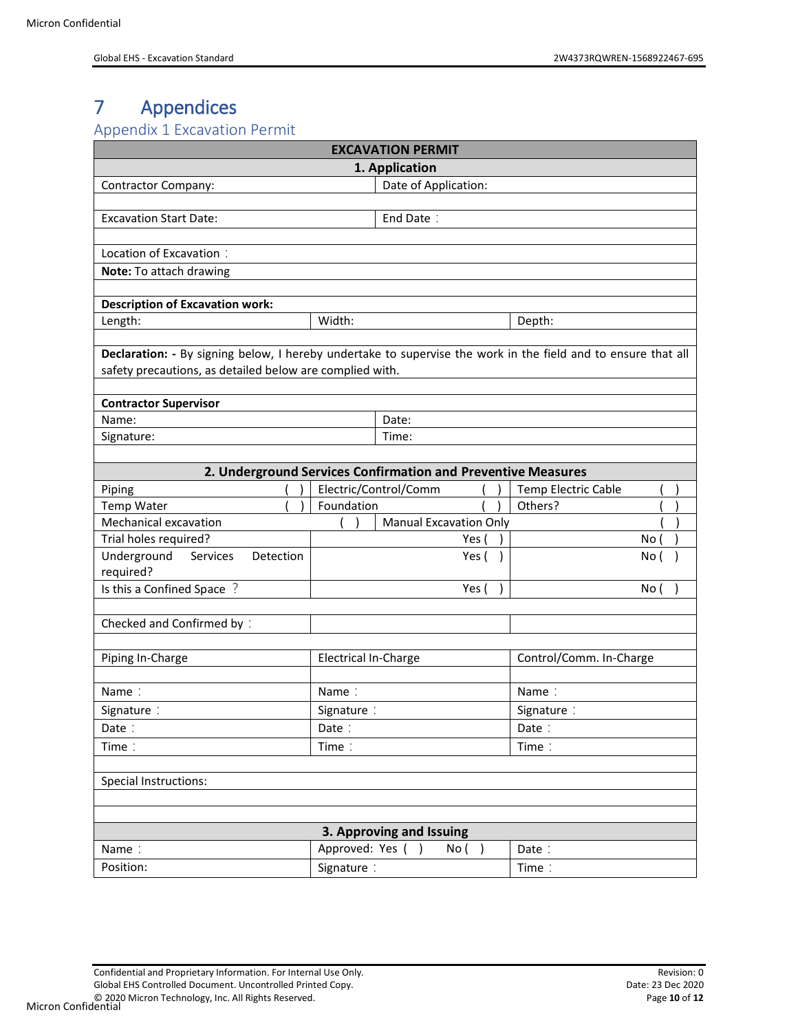# <span id="page-9-0"></span>7 Appendices

#### <span id="page-9-1"></span>Appendix 1 Excavation Permit

| <b>EXCAVATION PERMIT</b>                                                                                                                                                  |                             |                                                              |            |                         |      |  |  |  |  |
|---------------------------------------------------------------------------------------------------------------------------------------------------------------------------|-----------------------------|--------------------------------------------------------------|------------|-------------------------|------|--|--|--|--|
| 1. Application                                                                                                                                                            |                             |                                                              |            |                         |      |  |  |  |  |
| Date of Application:<br><b>Contractor Company:</b>                                                                                                                        |                             |                                                              |            |                         |      |  |  |  |  |
|                                                                                                                                                                           |                             |                                                              |            |                         |      |  |  |  |  |
| <b>Excavation Start Date:</b>                                                                                                                                             |                             | End Date:                                                    |            |                         |      |  |  |  |  |
|                                                                                                                                                                           |                             |                                                              |            |                         |      |  |  |  |  |
| Location of Excavation:                                                                                                                                                   |                             |                                                              |            |                         |      |  |  |  |  |
| Note: To attach drawing                                                                                                                                                   |                             |                                                              |            |                         |      |  |  |  |  |
|                                                                                                                                                                           |                             |                                                              |            |                         |      |  |  |  |  |
| <b>Description of Excavation work:</b>                                                                                                                                    |                             |                                                              |            |                         |      |  |  |  |  |
| Length:                                                                                                                                                                   | Width:                      |                                                              |            | Depth:                  |      |  |  |  |  |
| Declaration: - By signing below, I hereby undertake to supervise the work in the field and to ensure that all<br>safety precautions, as detailed below are complied with. |                             |                                                              |            |                         |      |  |  |  |  |
| <b>Contractor Supervisor</b>                                                                                                                                              |                             |                                                              |            |                         |      |  |  |  |  |
| Name:                                                                                                                                                                     |                             | Date:                                                        |            |                         |      |  |  |  |  |
| Signature:                                                                                                                                                                |                             | Time:                                                        |            |                         |      |  |  |  |  |
|                                                                                                                                                                           |                             |                                                              |            |                         |      |  |  |  |  |
|                                                                                                                                                                           |                             | 2. Underground Services Confirmation and Preventive Measures |            |                         |      |  |  |  |  |
| Piping                                                                                                                                                                    |                             | Electric/Control/Comm                                        |            | Temp Electric Cable     |      |  |  |  |  |
| Temp Water                                                                                                                                                                | Foundation                  |                                                              |            | Others?                 |      |  |  |  |  |
| Mechanical excavation                                                                                                                                                     |                             | <b>Manual Excavation Only</b>                                |            |                         |      |  |  |  |  |
| Trial holes required?                                                                                                                                                     |                             | Yes (                                                        |            |                         | No ( |  |  |  |  |
| Underground<br>Services<br>Detection<br>required?                                                                                                                         |                             | Yes (                                                        |            |                         | No ( |  |  |  |  |
| Is this a Confined Space ?                                                                                                                                                |                             | Yes (                                                        |            |                         | No ( |  |  |  |  |
|                                                                                                                                                                           |                             |                                                              |            |                         |      |  |  |  |  |
| Checked and Confirmed by:                                                                                                                                                 |                             |                                                              |            |                         |      |  |  |  |  |
| Piping In-Charge                                                                                                                                                          | <b>Electrical In-Charge</b> |                                                              |            | Control/Comm. In-Charge |      |  |  |  |  |
|                                                                                                                                                                           |                             |                                                              |            |                         |      |  |  |  |  |
| Name:                                                                                                                                                                     | Name:                       |                                                              |            | Name:                   |      |  |  |  |  |
| Signature:                                                                                                                                                                | Signature:                  |                                                              | Signature: |                         |      |  |  |  |  |
| Date:                                                                                                                                                                     | Date:                       |                                                              | Date:      |                         |      |  |  |  |  |
| Time:                                                                                                                                                                     | Time:                       |                                                              |            | Time:                   |      |  |  |  |  |
| Special Instructions:                                                                                                                                                     |                             |                                                              |            |                         |      |  |  |  |  |
|                                                                                                                                                                           |                             |                                                              |            |                         |      |  |  |  |  |
| Name:                                                                                                                                                                     | Approved: Yes (             | 3. Approving and Issuing                                     |            |                         |      |  |  |  |  |
|                                                                                                                                                                           |                             | No( )<br>$\rightarrow$                                       |            | Date:                   |      |  |  |  |  |
| Position:                                                                                                                                                                 | Signature:                  |                                                              |            | Time:                   |      |  |  |  |  |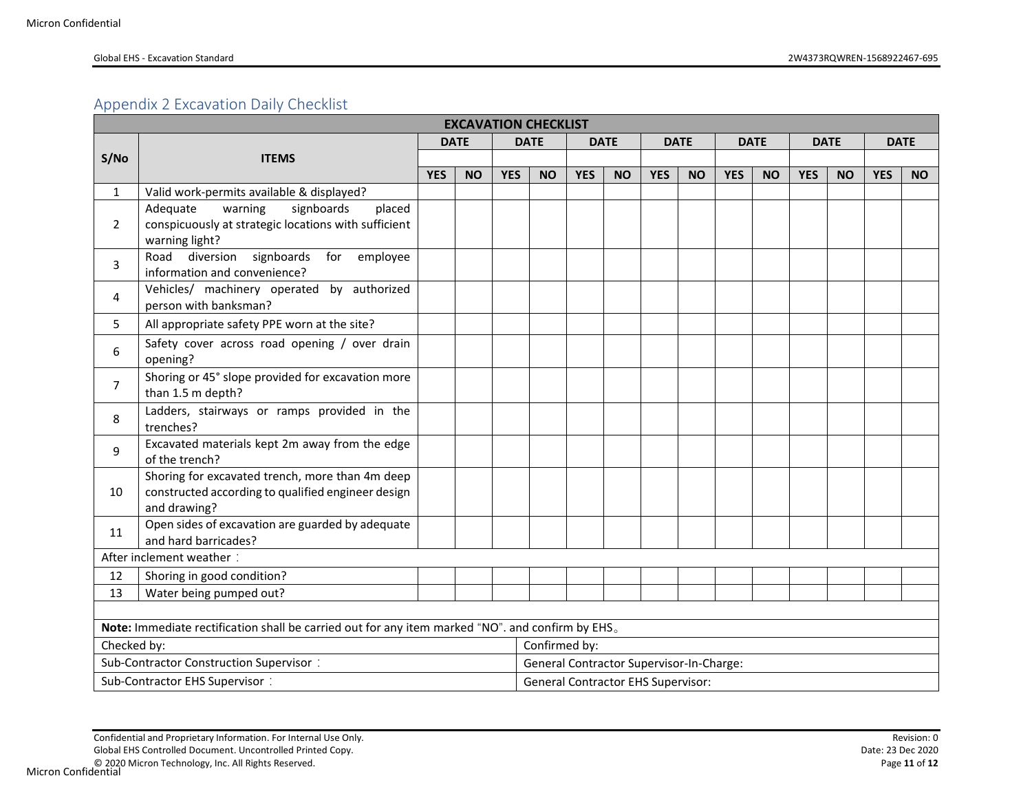### Appendix 2 Excavation Daily Checklist

<span id="page-10-0"></span>

|                | <b>EXCAVATION CHECKLIST</b>                                                                                           |            |             |            |                                                                                        |            |           |            |           |            |           |            |           |            |           |
|----------------|-----------------------------------------------------------------------------------------------------------------------|------------|-------------|------------|----------------------------------------------------------------------------------------|------------|-----------|------------|-----------|------------|-----------|------------|-----------|------------|-----------|
|                |                                                                                                                       |            | <b>DATE</b> |            | <b>DATE</b><br><b>DATE</b><br><b>DATE</b><br><b>DATE</b><br><b>DATE</b><br><b>DATE</b> |            |           |            |           |            |           |            |           |            |           |
| S/No           | <b>ITEMS</b>                                                                                                          |            |             |            |                                                                                        |            |           |            |           |            |           |            |           |            |           |
|                |                                                                                                                       | <b>YES</b> | <b>NO</b>   | <b>YES</b> | <b>NO</b>                                                                              | <b>YES</b> | <b>NO</b> | <b>YES</b> | <b>NO</b> | <b>YES</b> | <b>NO</b> | <b>YES</b> | <b>NO</b> | <b>YES</b> | <b>NO</b> |
| $\mathbf{1}$   | Valid work-permits available & displayed?                                                                             |            |             |            |                                                                                        |            |           |            |           |            |           |            |           |            |           |
| $\overline{2}$ | signboards<br>Adequate<br>warning<br>placed<br>conspicuously at strategic locations with sufficient<br>warning light? |            |             |            |                                                                                        |            |           |            |           |            |           |            |           |            |           |
| 3              | Road diversion<br>signboards<br>for employee<br>information and convenience?                                          |            |             |            |                                                                                        |            |           |            |           |            |           |            |           |            |           |
| 4              | Vehicles/ machinery operated by authorized<br>person with banksman?                                                   |            |             |            |                                                                                        |            |           |            |           |            |           |            |           |            |           |
| 5              | All appropriate safety PPE worn at the site?                                                                          |            |             |            |                                                                                        |            |           |            |           |            |           |            |           |            |           |
| 6              | Safety cover across road opening / over drain<br>opening?                                                             |            |             |            |                                                                                        |            |           |            |           |            |           |            |           |            |           |
| $\overline{7}$ | Shoring or 45° slope provided for excavation more<br>than 1.5 m depth?                                                |            |             |            |                                                                                        |            |           |            |           |            |           |            |           |            |           |
| 8              | Ladders, stairways or ramps provided in the<br>trenches?                                                              |            |             |            |                                                                                        |            |           |            |           |            |           |            |           |            |           |
| 9              | Excavated materials kept 2m away from the edge<br>of the trench?                                                      |            |             |            |                                                                                        |            |           |            |           |            |           |            |           |            |           |
| 10             | Shoring for excavated trench, more than 4m deep<br>constructed according to qualified engineer design<br>and drawing? |            |             |            |                                                                                        |            |           |            |           |            |           |            |           |            |           |
| 11             | Open sides of excavation are guarded by adequate<br>and hard barricades?                                              |            |             |            |                                                                                        |            |           |            |           |            |           |            |           |            |           |
|                | After inclement weather:                                                                                              |            |             |            |                                                                                        |            |           |            |           |            |           |            |           |            |           |
| 12             | Shoring in good condition?                                                                                            |            |             |            |                                                                                        |            |           |            |           |            |           |            |           |            |           |
| 13             | Water being pumped out?                                                                                               |            |             |            |                                                                                        |            |           |            |           |            |           |            |           |            |           |
|                |                                                                                                                       |            |             |            |                                                                                        |            |           |            |           |            |           |            |           |            |           |
|                | Note: Immediate rectification shall be carried out for any item marked "NO". and confirm by EHS.                      |            |             |            |                                                                                        |            |           |            |           |            |           |            |           |            |           |
| Checked by:    |                                                                                                                       |            |             |            | Confirmed by:                                                                          |            |           |            |           |            |           |            |           |            |           |
|                | Sub-Contractor Construction Supervisor:                                                                               |            |             |            | General Contractor Supervisor-In-Charge:                                               |            |           |            |           |            |           |            |           |            |           |
|                | Sub-Contractor EHS Supervisor:<br><b>General Contractor EHS Supervisor:</b>                                           |            |             |            |                                                                                        |            |           |            |           |            |           |            |           |            |           |